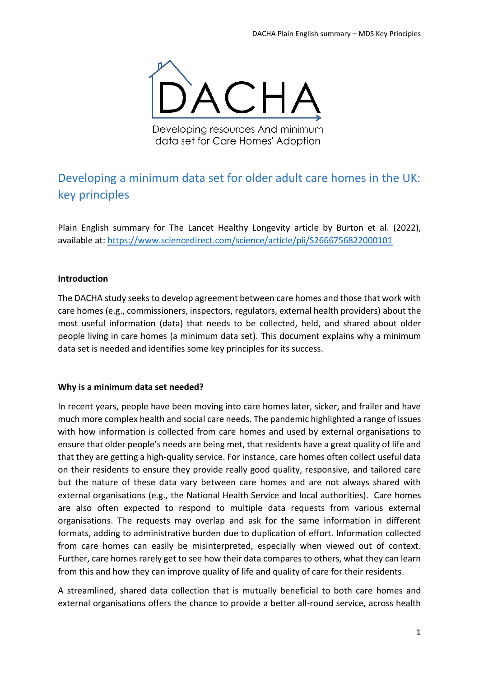

Developing resources And minimum data set for Care Homes' Adoption

# Developing a minimum data set for older adult care homes in the UK: key principles

Plain English summary for The Lancet Healthy Longevity article by Burton et al. (2022), available at[: https://www.sciencedirect.com/science/article/pii/S2666756822000101](https://www.sciencedirect.com/science/article/pii/S2666756822000101)

## **Introduction**

The DACHA study seeks to develop agreement between care homes and those that work with care homes (e.g., commissioners, inspectors, regulators, external health providers) about the most useful information (data) that needs to be collected, held, and shared about older people living in care homes (a minimum data set). This document explains why a minimum data set is needed and identifies some key principles for its success.

## **Why is a minimum data set needed?**

In recent years, people have been moving into care homes later, sicker, and frailer and have much more complex health and social care needs. The pandemic highlighted a range of issues with how information is collected from care homes and used by external organisations to ensure that older people's needs are being met, that residents have a great quality of life and that they are getting a high-quality service. For instance, care homes often collect useful data on their residents to ensure they provide really good quality, responsive, and tailored care but the nature of these data vary between care homes and are not always shared with external organisations (e.g., the National Health Service and local authorities). Care homes are also often expected to respond to multiple data requests from various external organisations. The requests may overlap and ask for the same information in different formats, adding to administrative burden due to duplication of effort. Information collected from care homes can easily be misinterpreted, especially when viewed out of context. Further, care homes rarely get to see how their data compares to others, what they can learn from this and how they can improve quality of life and quality of care for their residents.

A streamlined, shared data collection that is mutually beneficial to both care homes and external organisations offers the chance to provide a better all-round service, across health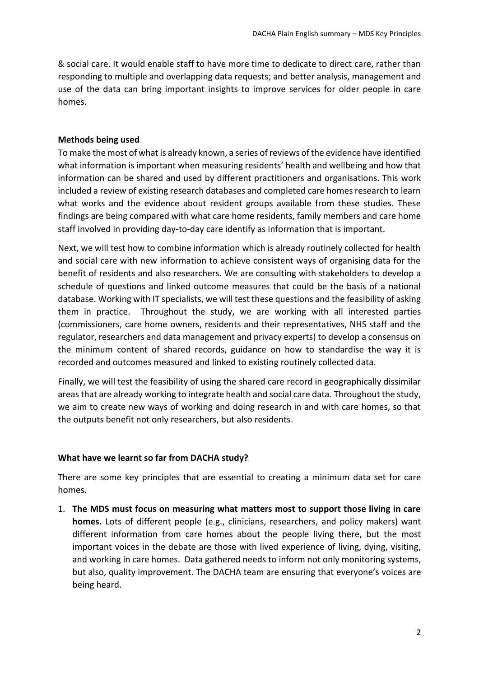& social care. It would enable staff to have more time to dedicate to direct care, rather than responding to multiple and overlapping data requests; and better analysis, management and use of the data can bring important insights to improve services for older people in care homes.

### **Methods being used**

To make the most of what is already known, a series of reviews of the evidence have identified what information is important when measuring residents' health and wellbeing and how that information can be shared and used by different practitioners and organisations. This work included a review of existing research databases and completed care homes research to learn what works and the evidence about resident groups available from these studies. These findings are being compared with what care home residents, family members and care home staff involved in providing day-to-day care identify as information that is important.

Next, we will test how to combine information which is already routinely collected for health and social care with new information to achieve consistent ways of organising data for the benefit of residents and also researchers. We are consulting with stakeholders to develop a schedule of questions and linked outcome measures that could be the basis of a national database. Working with IT specialists, we will test these questions and the feasibility of asking them in practice. Throughout the study, we are working with all interested parties (commissioners, care home owners, residents and their representatives, NHS staff and the regulator, researchers and data management and privacy experts) to develop a consensus on the minimum content of shared records, guidance on how to standardise the way it is recorded and outcomes measured and linked to existing routinely collected data.

Finally, we will test the feasibility of using the shared care record in geographically dissimilar areas that are already working to integrate health and social care data. Throughout the study, we aim to create new ways of working and doing research in and with care homes, so that the outputs benefit not only researchers, but also residents.

#### **What have we learnt so far from DACHA study?**

There are some key principles that are essential to creating a minimum data set for care homes.

1. **The MDS must focus on measuring what matters most to support those living in care homes.** Lots of different people (e.g., clinicians, researchers, and policy makers) want different information from care homes about the people living there, but the most important voices in the debate are those with lived experience of living, dying, visiting, and working in care homes. Data gathered needs to inform not only monitoring systems, but also, quality improvement. The DACHA team are ensuring that everyone's voices are being heard.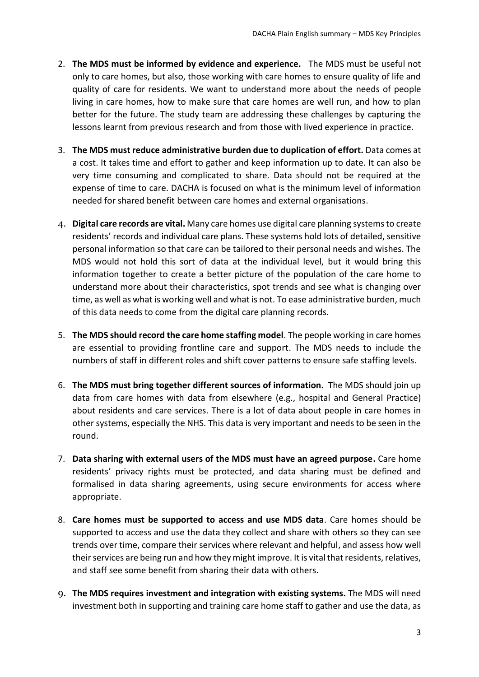- 2. **The MDS must be informed by evidence and experience.** The MDS must be useful not only to care homes, but also, those working with care homes to ensure quality of life and quality of care for residents. We want to understand more about the needs of people living in care homes, how to make sure that care homes are well run, and how to plan better for the future. The study team are addressing these challenges by capturing the lessons learnt from previous research and from those with lived experience in practice.
- 3. **The MDS must reduce administrative burden due to duplication of effort.** Data comes at a cost. It takes time and effort to gather and keep information up to date. It can also be very time consuming and complicated to share. Data should not be required at the expense of time to care. DACHA is focused on what is the minimum level of information needed for shared benefit between care homes and external organisations.
- 4. **Digital care records are vital.** Many care homes use digital care planning systems to create residents' records and individual care plans. These systems hold lots of detailed, sensitive personal information so that care can be tailored to their personal needs and wishes. The MDS would not hold this sort of data at the individual level, but it would bring this information together to create a better picture of the population of the care home to understand more about their characteristics, spot trends and see what is changing over time, as well as what is working well and what is not. To ease administrative burden, much of this data needs to come from the digital care planning records.
- 5. **The MDS should record the care home staffing model**. The people working in care homes are essential to providing frontline care and support. The MDS needs to include the numbers of staff in different roles and shift cover patterns to ensure safe staffing levels.
- 6. **The MDS must bring together different sources of information.** The MDS should join up data from care homes with data from elsewhere (e.g., hospital and General Practice) about residents and care services. There is a lot of data about people in care homes in other systems, especially the NHS. This data is very important and needs to be seen in the round.
- 7. **Data sharing with external users of the MDS must have an agreed purpose.** Care home residents' privacy rights must be protected, and data sharing must be defined and formalised in data sharing agreements, using secure environments for access where appropriate.
- 8. **Care homes must be supported to access and use MDS data**. Care homes should be supported to access and use the data they collect and share with others so they can see trends over time, compare their services where relevant and helpful, and assess how well their services are being run and how they might improve. It is vital that residents, relatives, and staff see some benefit from sharing their data with others.
- 9. **The MDS requires investment and integration with existing systems.** The MDS will need investment both in supporting and training care home staff to gather and use the data, as